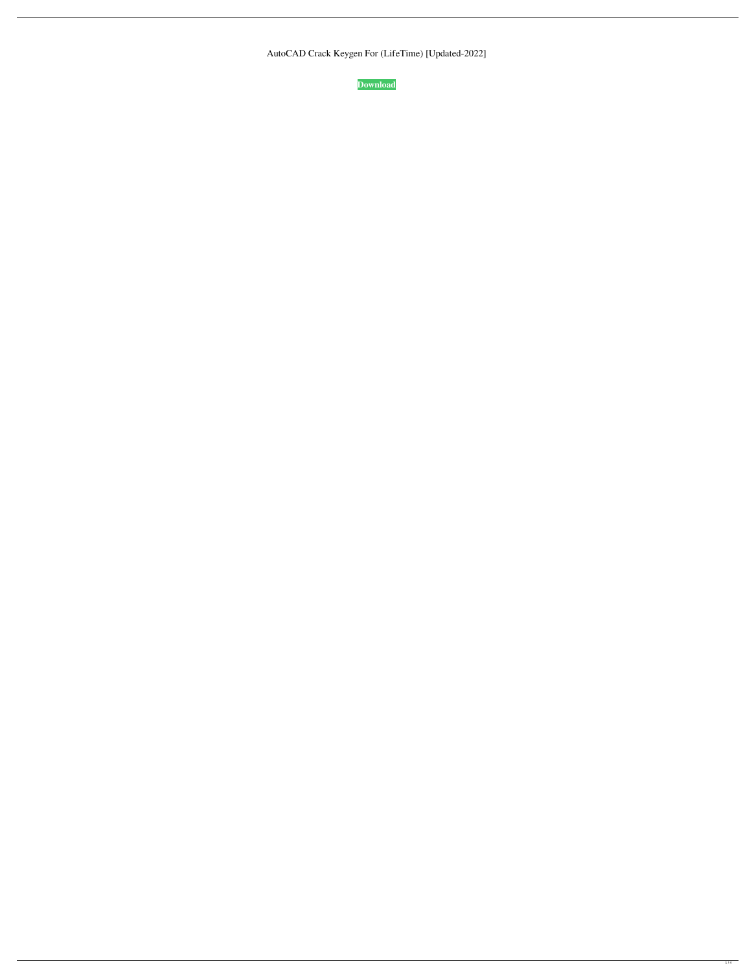AutoCAD Crack Keygen For (LifeTime) [Updated-2022]

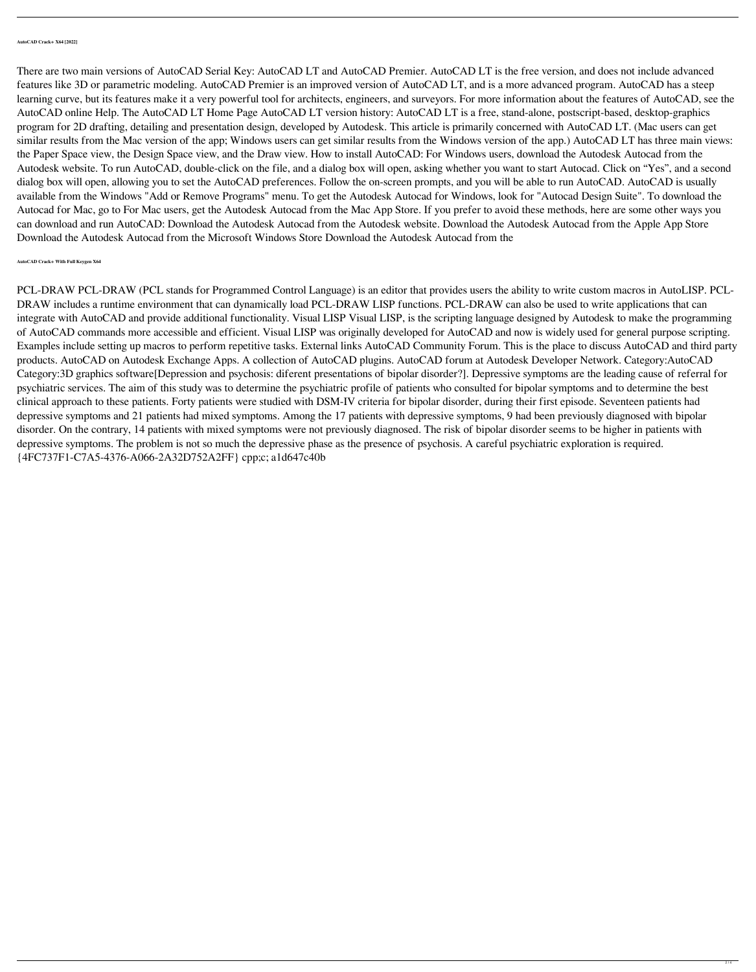**AutoCAD Crack+ X64 [2022]**

There are two main versions of AutoCAD Serial Key: AutoCAD LT and AutoCAD Premier. AutoCAD LT is the free version, and does not include advanced features like 3D or parametric modeling. AutoCAD Premier is an improved version of AutoCAD LT, and is a more advanced program. AutoCAD has a steep learning curve, but its features make it a very powerful tool for architects, engineers, and surveyors. For more information about the features of AutoCAD, see the AutoCAD online Help. The AutoCAD LT Home Page AutoCAD LT version history: AutoCAD LT is a free, stand-alone, postscript-based, desktop-graphics program for 2D drafting, detailing and presentation design, developed by Autodesk. This article is primarily concerned with AutoCAD LT. (Mac users can get similar results from the Mac version of the app; Windows users can get similar results from the Windows version of the app.) AutoCAD LT has three main views: the Paper Space view, the Design Space view, and the Draw view. How to install AutoCAD: For Windows users, download the Autodesk Autocad from the Autodesk website. To run AutoCAD, double-click on the file, and a dialog box will open, asking whether you want to start Autocad. Click on "Yes", and a second dialog box will open, allowing you to set the AutoCAD preferences. Follow the on-screen prompts, and you will be able to run AutoCAD. AutoCAD is usually available from the Windows "Add or Remove Programs" menu. To get the Autodesk Autocad for Windows, look for "Autocad Design Suite". To download the Autocad for Mac, go to For Mac users, get the Autodesk Autocad from the Mac App Store. If you prefer to avoid these methods, here are some other ways you can download and run AutoCAD: Download the Autodesk Autocad from the Autodesk website. Download the Autodesk Autocad from the Apple App Store Download the Autodesk Autocad from the Microsoft Windows Store Download the Autodesk Autocad from the

**AutoCAD Crack+ With Full Keygen X64**

PCL-DRAW PCL-DRAW (PCL stands for Programmed Control Language) is an editor that provides users the ability to write custom macros in AutoLISP. PCL-DRAW includes a runtime environment that can dynamically load PCL-DRAW LISP functions. PCL-DRAW can also be used to write applications that can integrate with AutoCAD and provide additional functionality. Visual LISP Visual LISP, is the scripting language designed by Autodesk to make the programming of AutoCAD commands more accessible and efficient. Visual LISP was originally developed for AutoCAD and now is widely used for general purpose scripting. Examples include setting up macros to perform repetitive tasks. External links AutoCAD Community Forum. This is the place to discuss AutoCAD and third party products. AutoCAD on Autodesk Exchange Apps. A collection of AutoCAD plugins. AutoCAD forum at Autodesk Developer Network. Category:AutoCAD Category:3D graphics software[Depression and psychosis: diferent presentations of bipolar disorder?]. Depressive symptoms are the leading cause of referral for psychiatric services. The aim of this study was to determine the psychiatric profile of patients who consulted for bipolar symptoms and to determine the best clinical approach to these patients. Forty patients were studied with DSM-IV criteria for bipolar disorder, during their first episode. Seventeen patients had depressive symptoms and 21 patients had mixed symptoms. Among the 17 patients with depressive symptoms, 9 had been previously diagnosed with bipolar disorder. On the contrary, 14 patients with mixed symptoms were not previously diagnosed. The risk of bipolar disorder seems to be higher in patients with depressive symptoms. The problem is not so much the depressive phase as the presence of psychosis. A careful psychiatric exploration is required. {4FC737F1-C7A5-4376-A066-2A32D752A2FF} cpp;c; a1d647c40b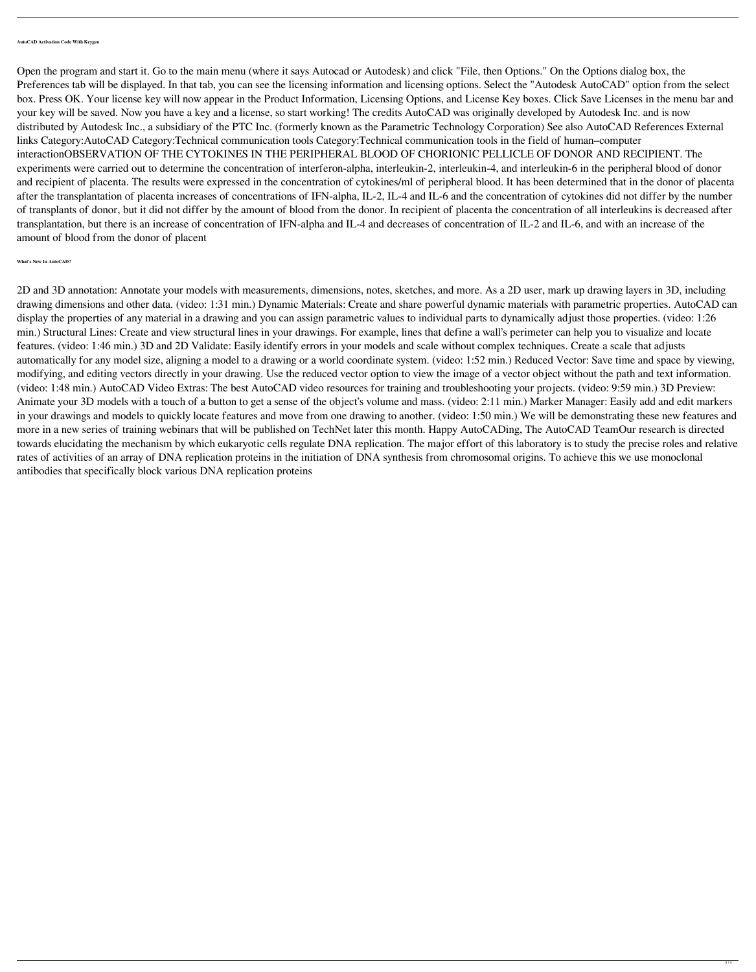**AutoCAD Activation Code With Keygen**

Open the program and start it. Go to the main menu (where it says Autocad or Autodesk) and click "File, then Options." On the Options dialog box, the Preferences tab will be displayed. In that tab, you can see the licensing information and licensing options. Select the "Autodesk AutoCAD" option from the select box. Press OK. Your license key will now appear in the Product Information, Licensing Options, and License Key boxes. Click Save Licenses in the menu bar and your key will be saved. Now you have a key and a license, so start working! The credits AutoCAD was originally developed by Autodesk Inc. and is now distributed by Autodesk Inc., a subsidiary of the PTC Inc. (formerly known as the Parametric Technology Corporation) See also AutoCAD References External links Category:AutoCAD Category:Technical communication tools Category:Technical communication tools in the field of human–computer interactionOBSERVATION OF THE CYTOKINES IN THE PERIPHERAL BLOOD OF CHORIONIC PELLICLE OF DONOR AND RECIPIENT. The experiments were carried out to determine the concentration of interferon-alpha, interleukin-2, interleukin-4, and interleukin-6 in the peripheral blood of donor and recipient of placenta. The results were expressed in the concentration of cytokines/ml of peripheral blood. It has been determined that in the donor of placenta after the transplantation of placenta increases of concentrations of IFN-alpha, IL-2, IL-4 and IL-6 and the concentration of cytokines did not differ by the number of transplants of donor, but it did not differ by the amount of blood from the donor. In recipient of placenta the concentration of all interleukins is decreased after transplantation, but there is an increase of concentration of IFN-alpha and IL-4 and decreases of concentration of IL-2 and IL-6, and with an increase of the amount of blood from the donor of placent

**What's New In AutoCAD?**

2D and 3D annotation: Annotate your models with measurements, dimensions, notes, sketches, and more. As a 2D user, mark up drawing layers in 3D, including drawing dimensions and other data. (video: 1:31 min.) Dynamic Materials: Create and share powerful dynamic materials with parametric properties. AutoCAD can display the properties of any material in a drawing and you can assign parametric values to individual parts to dynamically adjust those properties. (video: 1:26 min.) Structural Lines: Create and view structural lines in your drawings. For example, lines that define a wall's perimeter can help you to visualize and locate features. (video: 1:46 min.) 3D and 2D Validate: Easily identify errors in your models and scale without complex techniques. Create a scale that adjusts automatically for any model size, aligning a model to a drawing or a world coordinate system. (video: 1:52 min.) Reduced Vector: Save time and space by viewing, modifying, and editing vectors directly in your drawing. Use the reduced vector option to view the image of a vector object without the path and text information. (video: 1:48 min.) AutoCAD Video Extras: The best AutoCAD video resources for training and troubleshooting your projects. (video: 9:59 min.) 3D Preview: Animate your 3D models with a touch of a button to get a sense of the object's volume and mass. (video: 2:11 min.) Marker Manager: Easily add and edit markers in your drawings and models to quickly locate features and move from one drawing to another. (video: 1:50 min.) We will be demonstrating these new features and more in a new series of training webinars that will be published on TechNet later this month. Happy AutoCADing, The AutoCAD TeamOur research is directed towards elucidating the mechanism by which eukaryotic cells regulate DNA replication. The major effort of this laboratory is to study the precise roles and relative rates of activities of an array of DNA replication proteins in the initiation of DNA synthesis from chromosomal origins. To achieve this we use monoclonal antibodies that specifically block various DNA replication proteins